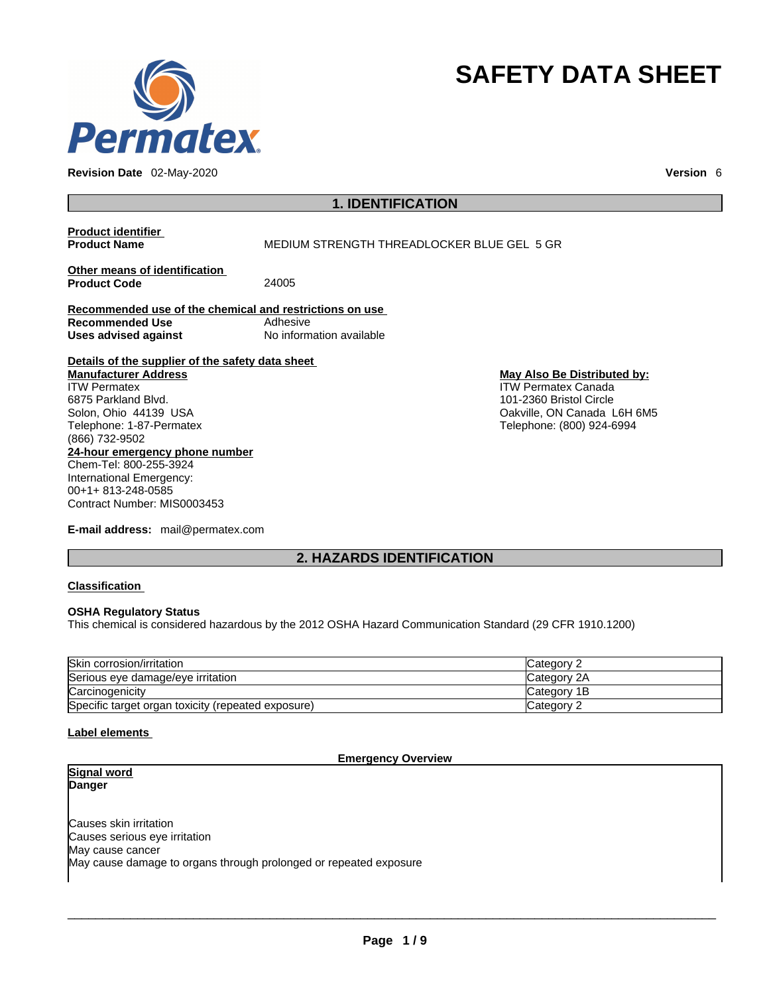

**Revision Date** 02-May-2020 **Version** 6

# **SAFETY DATA SHEET**

## **1. IDENTIFICATION**

## **Product identifier**

**MEDIUM STRENGTH THREADLOCKER BLUE GEL 5 GR** 

**Other means of identification Product Code** 

**Recommended use of the chemical and restrictions on use Recommended Use Adhesive Uses advised against** No information available

**Details of the supplier of the safety data sheet**

**24-hour emergency phone number** Chem-Tel: 800-255-3924 International Emergency: 00+1+ 813-248-0585 **Manufacturer Address** ITW Permatex 6875 Parkland Blvd. Solon, Ohio 44139 USA Telephone: 1-87-Permatex (866) 732-9502

**E-mail address:** mail@permatex.com

Contract Number: MIS0003453

**May Also Be Distributed by:** ITW Permatex Canada 101-2360 Bristol Circle Oakville, ON Canada L6H 6M5 Telephone: (800) 924-6994

**2. HAZARDS IDENTIFICATION** 

## **Classification**

## **OSHA Regulatory Status**

This chemical is considered hazardous by the 2012 OSHA Hazard Communication Standard (29 CFR 1910.1200)

| Skin corrosion/irritation                          | Category 2   |
|----------------------------------------------------|--------------|
| Serious eve damage/eve irritation                  | Category 2A  |
| Carcinogenicity                                    | ICategory 1B |
| Specific target organ toxicity (repeated exposure) | Category 2   |

## **Label elements**

## **Emergency Overview**

| Signal word                                                       |
|-------------------------------------------------------------------|
| Danger                                                            |
|                                                                   |
|                                                                   |
| Causes skin irritation                                            |
| Causes serious eye irritation                                     |
| May cause cancer                                                  |
| May cause damage to organs through prolonged or repeated exposure |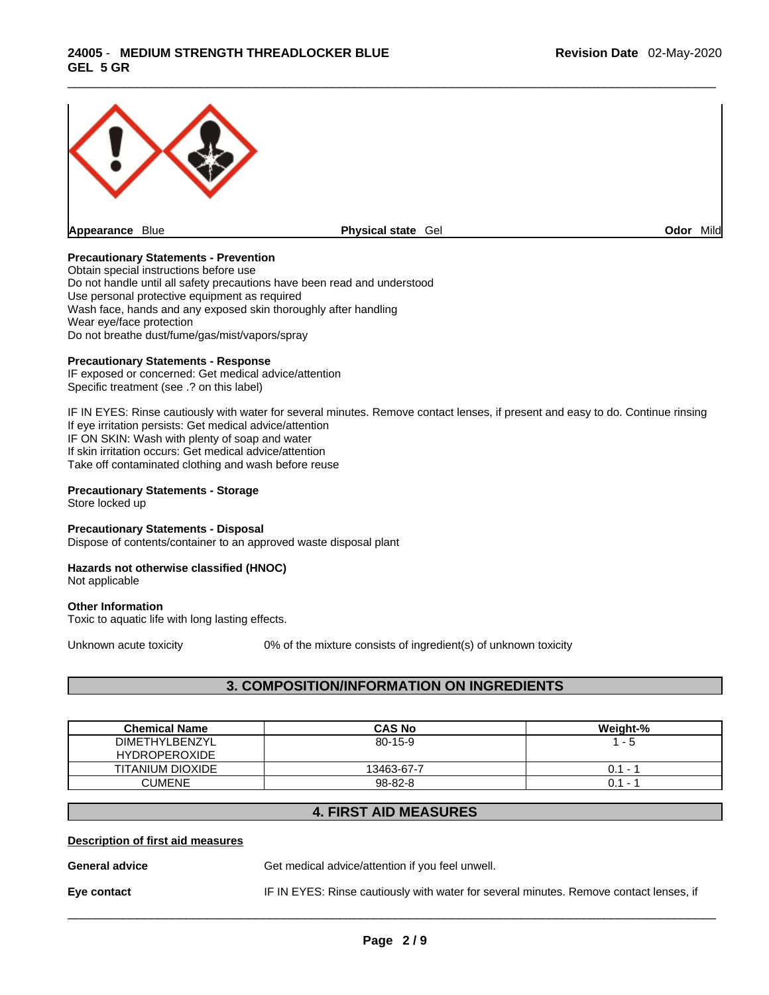

**Appearance** Blue **Physical state** Gel

**Odor** Mild

## **Precautionary Statements - Prevention**

Obtain special instructions before use Do not handle until all safety precautions have been read and understood Use personal protective equipment as required Wash face, hands and any exposed skin thoroughly after handling Wear eye/face protection Do not breathe dust/fume/gas/mist/vapors/spray

## **Precautionary Statements - Response**

IF exposed or concerned: Get medical advice/attention Specific treatment (see .? on this label)

IF IN EYES: Rinse cautiously with water for several minutes. Remove contact lenses, if present and easy to do. Continue rinsing If eye irritation persists: Get medical advice/attention IF ON SKIN: Wash with plenty of soap and water If skin irritation occurs: Get medical advice/attention Take off contaminated clothing and wash before reuse

## **Precautionary Statements - Storage**

Store locked up

## **Precautionary Statements - Disposal**

Dispose of contents/container to an approved waste disposal plant

## **Hazards not otherwise classified (HNOC)**

Not applicable

#### **Other Information**

Toxic to aquatic life with long lasting effects.

Unknown acute toxicity 0% of the mixture consists of ingredient(s) of unknown toxicity

## **3. COMPOSITION/INFORMATION ON INGREDIENTS**

| <b>Chemical Name</b>  | <b>CAS No</b> | Weight-%                        |
|-----------------------|---------------|---------------------------------|
| <b>DIMETHYLBENZYL</b> | $80 - 15 - 9$ | - 5                             |
| <b>HYDROPEROXIDE</b>  |               |                                 |
| TITANIUM DIOXIDE      | 13463-67-7    | 0.1<br>$\overline{\phantom{0}}$ |
| <b>CUMENE</b>         | 98-82-8       | $0.1 -$                         |

## **4. FIRST AID MEASURES**

#### **Description of first aid measures**

**General advice** Get medical advice/attention if you feel unwell.

**Eye contact** IF IN EYES: Rinse cautiously with water forseveral minutes. Remove contact lenses, if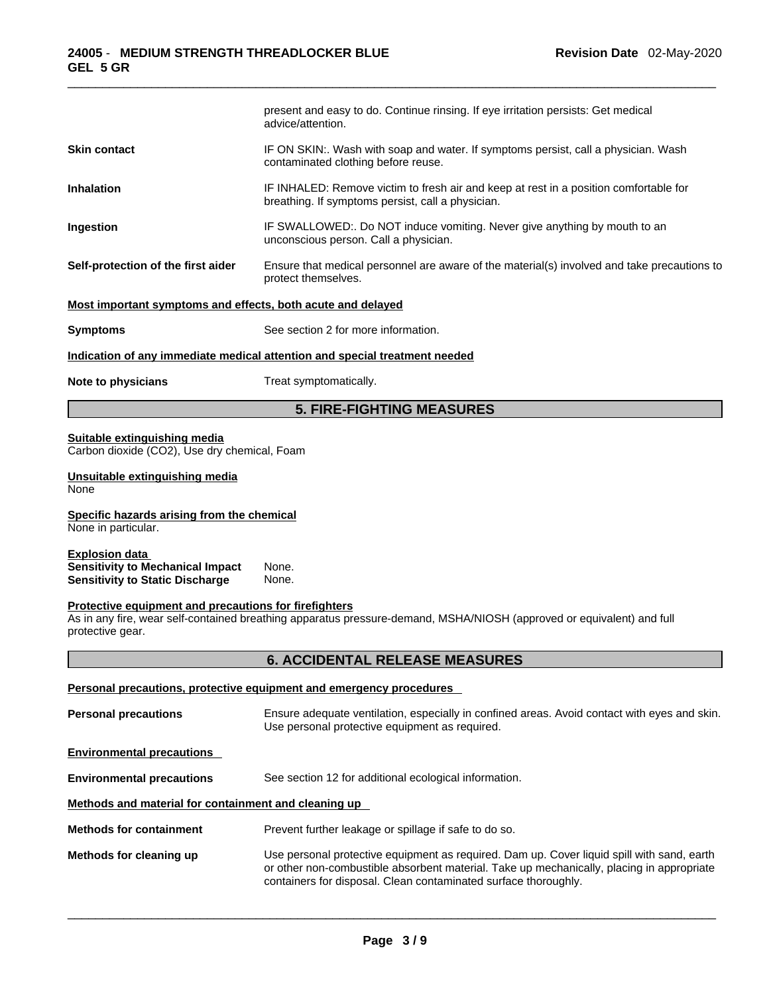|                                                                                                            | present and easy to do. Continue rinsing. If eye irritation persists: Get medical<br>advice/attention.                                                                                                                                                     |
|------------------------------------------------------------------------------------------------------------|------------------------------------------------------------------------------------------------------------------------------------------------------------------------------------------------------------------------------------------------------------|
| <b>Skin contact</b>                                                                                        | IF ON SKIN:. Wash with soap and water. If symptoms persist, call a physician. Wash<br>contaminated clothing before reuse.                                                                                                                                  |
| <b>Inhalation</b>                                                                                          | IF INHALED: Remove victim to fresh air and keep at rest in a position comfortable for<br>breathing. If symptoms persist, call a physician.                                                                                                                 |
| Ingestion                                                                                                  | IF SWALLOWED:. Do NOT induce vomiting. Never give anything by mouth to an<br>unconscious person. Call a physician.                                                                                                                                         |
| Self-protection of the first aider                                                                         | Ensure that medical personnel are aware of the material(s) involved and take precautions to<br>protect themselves.                                                                                                                                         |
| Most important symptoms and effects, both acute and delayed                                                |                                                                                                                                                                                                                                                            |
| <b>Symptoms</b>                                                                                            | See section 2 for more information.                                                                                                                                                                                                                        |
|                                                                                                            | Indication of any immediate medical attention and special treatment needed                                                                                                                                                                                 |
| Note to physicians                                                                                         | Treat symptomatically.                                                                                                                                                                                                                                     |
|                                                                                                            | <b>5. FIRE-FIGHTING MEASURES</b>                                                                                                                                                                                                                           |
| Suitable extinguishing media<br>Carbon dioxide (CO2), Use dry chemical, Foam                               |                                                                                                                                                                                                                                                            |
| Unsuitable extinguishing media<br>None                                                                     |                                                                                                                                                                                                                                                            |
| Specific hazards arising from the chemical<br>None in particular.                                          |                                                                                                                                                                                                                                                            |
| <b>Explosion data</b><br><b>Sensitivity to Mechanical Impact</b><br><b>Sensitivity to Static Discharge</b> | None.<br>None.                                                                                                                                                                                                                                             |
| Protective equipment and precautions for firefighters<br>protective gear.                                  | As in any fire, wear self-contained breathing apparatus pressure-demand, MSHA/NIOSH (approved or equivalent) and full                                                                                                                                      |
|                                                                                                            | <b>6. ACCIDENTAL RELEASE MEASURES</b>                                                                                                                                                                                                                      |
|                                                                                                            | Personal precautions, protective equipment and emergency procedures                                                                                                                                                                                        |
| <b>Personal precautions</b>                                                                                | Ensure adequate ventilation, especially in confined areas. Avoid contact with eyes and skin.<br>Use personal protective equipment as required.                                                                                                             |
| <b>Environmental precautions</b>                                                                           |                                                                                                                                                                                                                                                            |
| <b>Environmental precautions</b>                                                                           | See section 12 for additional ecological information.                                                                                                                                                                                                      |
| Methods and material for containment and cleaning up                                                       |                                                                                                                                                                                                                                                            |
| <b>Methods for containment</b>                                                                             | Prevent further leakage or spillage if safe to do so.                                                                                                                                                                                                      |
| Methods for cleaning up                                                                                    | Use personal protective equipment as required. Dam up. Cover liquid spill with sand, earth<br>or other non-combustible absorbent material. Take up mechanically, placing in appropriate<br>containers for disposal. Clean contaminated surface thoroughly. |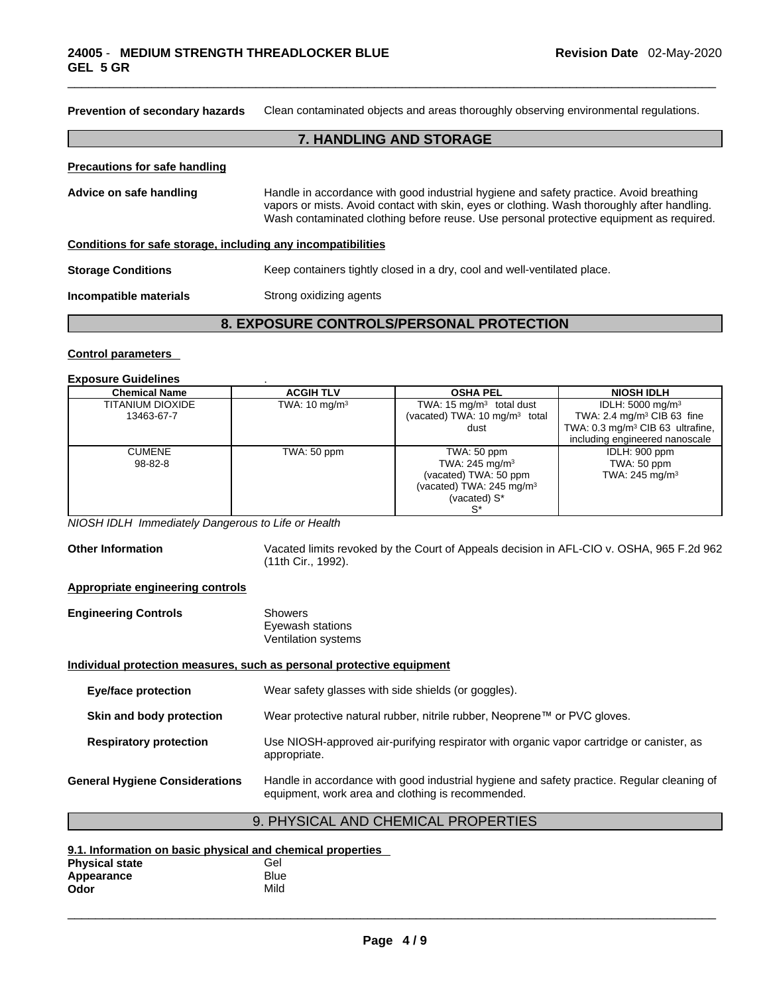| Clean contaminated objects and areas thoroughly observing environmental regulations.<br><b>Prevention of secondary hazards</b> |                                                                                                                                                                                                                                                                                  |  |  |
|--------------------------------------------------------------------------------------------------------------------------------|----------------------------------------------------------------------------------------------------------------------------------------------------------------------------------------------------------------------------------------------------------------------------------|--|--|
|                                                                                                                                | <b>7. HANDLING AND STORAGE</b>                                                                                                                                                                                                                                                   |  |  |
| <b>Precautions for safe handling</b>                                                                                           |                                                                                                                                                                                                                                                                                  |  |  |
| Advice on safe handling                                                                                                        | Handle in accordance with good industrial hygiene and safety practice. Avoid breathing<br>vapors or mists. Avoid contact with skin, eyes or clothing. Wash thoroughly after handling.<br>Wash contaminated clothing before reuse. Use personal protective equipment as required. |  |  |
| Conditions for safe storage, including any incompatibilities                                                                   |                                                                                                                                                                                                                                                                                  |  |  |
| <b>Storage Conditions</b>                                                                                                      | Keep containers tightly closed in a dry, cool and well-ventilated place.                                                                                                                                                                                                         |  |  |
| Incompatible materials                                                                                                         | Strong oxidizing agents                                                                                                                                                                                                                                                          |  |  |
|                                                                                                                                |                                                                                                                                                                                                                                                                                  |  |  |

## **8. EXPOSURE CONTROLS/PERSONAL PROTECTION**

#### **Control parameters**

#### **Exposure Guidelines** .

| <b>Chemical Name</b>    | <b>ACGIH TLV</b>         | <b>OSHA PEL</b>                           | <b>NIOSH IDLH</b>                            |
|-------------------------|--------------------------|-------------------------------------------|----------------------------------------------|
| <b>TITANIUM DIOXIDE</b> | TWA: $10 \text{ mg/m}^3$ | TWA: 15 $mg/m3$ total dust                | IDLH: $5000 \text{ mg/m}^3$                  |
| 13463-67-7              |                          | (vacated) TWA: 10 mg/m <sup>3</sup> total | TWA: 2.4 mg/m <sup>3</sup> CIB 63 fine       |
|                         |                          | dust                                      | TWA: 0.3 mg/m <sup>3</sup> CIB 63 ultrafine, |
|                         |                          |                                           | including engineered nanoscale               |
| <b>CUMENE</b>           | TWA: 50 ppm              | TWA: 50 ppm                               | IDLH: 900 ppm                                |
| $98 - 82 - 8$           |                          | TWA: $245 \text{ mg/m}^3$                 | TWA: 50 ppm                                  |
|                         |                          | (vacated) TWA: 50 ppm                     | TWA: 245 mg/m <sup>3</sup>                   |
|                         |                          | (vacated) TWA: $245 \text{ mg/m}^3$       |                                              |
|                         |                          | (vacated) S*                              |                                              |
|                         |                          |                                           |                                              |

*NIOSH IDLH Immediately Dangerous to Life or Health* 

**Other Information** Vacated limits revoked by the Court of Appeals decision in AFL-CIO v.OSHA, 965 F.2d 962 (11th Cir., 1992).

## **Appropriate engineering controls**

| <b>Engineering Controls</b> | Showers             |  |
|-----------------------------|---------------------|--|
|                             | Eyewash stations    |  |
|                             | Ventilation systems |  |

#### **Individual protection measures, such as personal protective equipment**

| Eye/face protection                   | Wear safety glasses with side shields (or goggles).                                                                                             |
|---------------------------------------|-------------------------------------------------------------------------------------------------------------------------------------------------|
| Skin and body protection              | Wear protective natural rubber, nitrile rubber, Neoprene™ or PVC gloves.                                                                        |
| <b>Respiratory protection</b>         | Use NIOSH-approved air-purifying respirator with organic vapor cartridge or canister, as<br>appropriate.                                        |
| <b>General Hygiene Considerations</b> | Handle in accordance with good industrial hygiene and safety practice. Regular cleaning of<br>equipment, work area and clothing is recommended. |

## 9. PHYSICAL AND CHEMICAL PROPERTIES

## **9.1. Information on basic physical and chemical properties**

| <b>Physical state</b> | Gel  |
|-----------------------|------|
| Appearance            | Blue |
| Odor                  | Mild |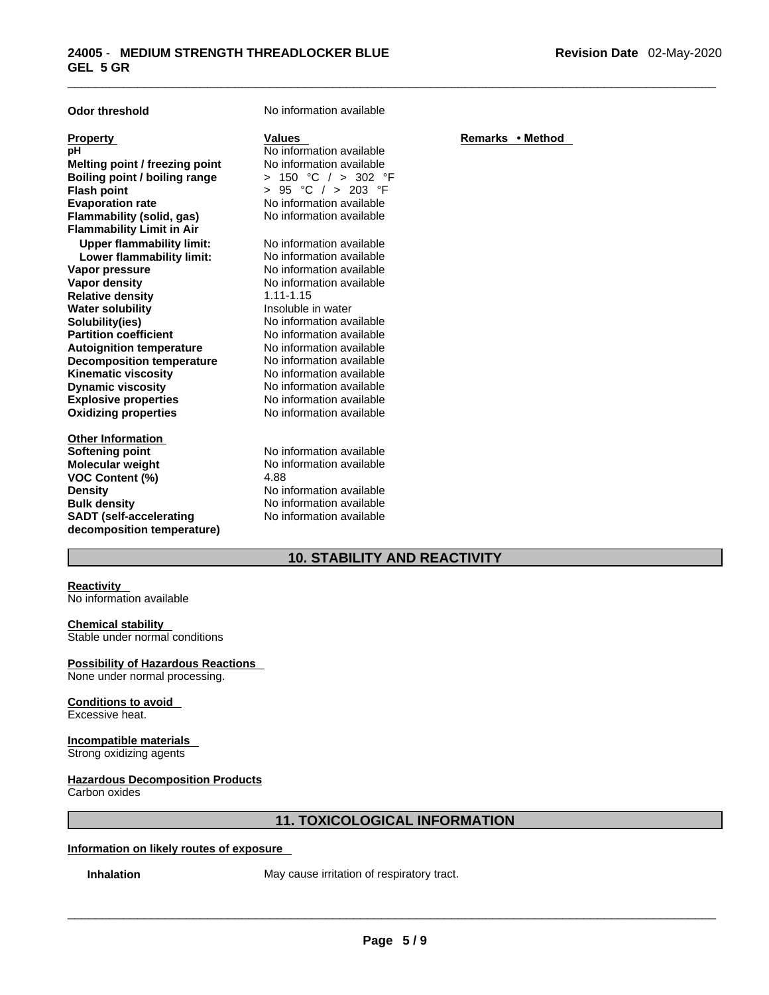| <b>Odor threshold</b>                                                                                                                                                                                                                                                                                                                                                                                                                                                                                                                                                                          | No information available                                                                                                                                                                                                                                                                                                                                                                                                                                                                                                                   |                  |
|------------------------------------------------------------------------------------------------------------------------------------------------------------------------------------------------------------------------------------------------------------------------------------------------------------------------------------------------------------------------------------------------------------------------------------------------------------------------------------------------------------------------------------------------------------------------------------------------|--------------------------------------------------------------------------------------------------------------------------------------------------------------------------------------------------------------------------------------------------------------------------------------------------------------------------------------------------------------------------------------------------------------------------------------------------------------------------------------------------------------------------------------------|------------------|
| <b>Property</b><br>рH<br>Melting point / freezing point<br>Boiling point / boiling range<br><b>Flash point</b><br><b>Evaporation rate</b><br>Flammability (solid, gas)<br><b>Flammability Limit in Air</b><br><b>Upper flammability limit:</b><br>Lower flammability limit:<br>Vapor pressure<br><b>Vapor density</b><br><b>Relative density</b><br><b>Water solubility</b><br>Solubility(ies)<br><b>Partition coefficient</b><br><b>Autoignition temperature</b><br><b>Decomposition temperature</b><br><b>Kinematic viscosity</b><br><b>Dynamic viscosity</b><br><b>Explosive properties</b> | <b>Values</b><br>No information available<br>No information available<br>> 150 °C / > 302 °F<br>°C $/$ > 203 °F<br>> 95<br>No information available<br>No information available<br>No information available<br>No information available<br>No information available<br>No information available<br>$1.11 - 1.15$<br>Insoluble in water<br>No information available<br>No information available<br>No information available<br>No information available<br>No information available<br>No information available<br>No information available | Remarks • Method |
| <b>Oxidizing properties</b>                                                                                                                                                                                                                                                                                                                                                                                                                                                                                                                                                                    | No information available                                                                                                                                                                                                                                                                                                                                                                                                                                                                                                                   |                  |
| <b>Other Information</b><br><b>Softening point</b><br>Molecular weight<br><b>VOC Content (%)</b><br><b>Density</b><br><b>Bulk density</b><br><b>SADT</b> (self-accelerating<br>decomposition temperature)                                                                                                                                                                                                                                                                                                                                                                                      | No information available<br>No information available<br>4.88<br>No information available<br>No information available<br>No information available                                                                                                                                                                                                                                                                                                                                                                                           |                  |

## **10. STABILITY AND REACTIVITY**

## **Reactivity**

No information available

## **Chemical stability**

Stable under normal conditions

## **Possibility of Hazardous Reactions**

None under normal processing.

## **Conditions to avoid**

Excessive heat.

#### **Incompatible materials**  Strong oxidizing agents

## **Hazardous Decomposition Products**

Carbon oxides

## **11. TOXICOLOGICAL INFORMATION**

## **Information on likely routes of exposure**

**Inhalation** May cause irritation of respiratory tract.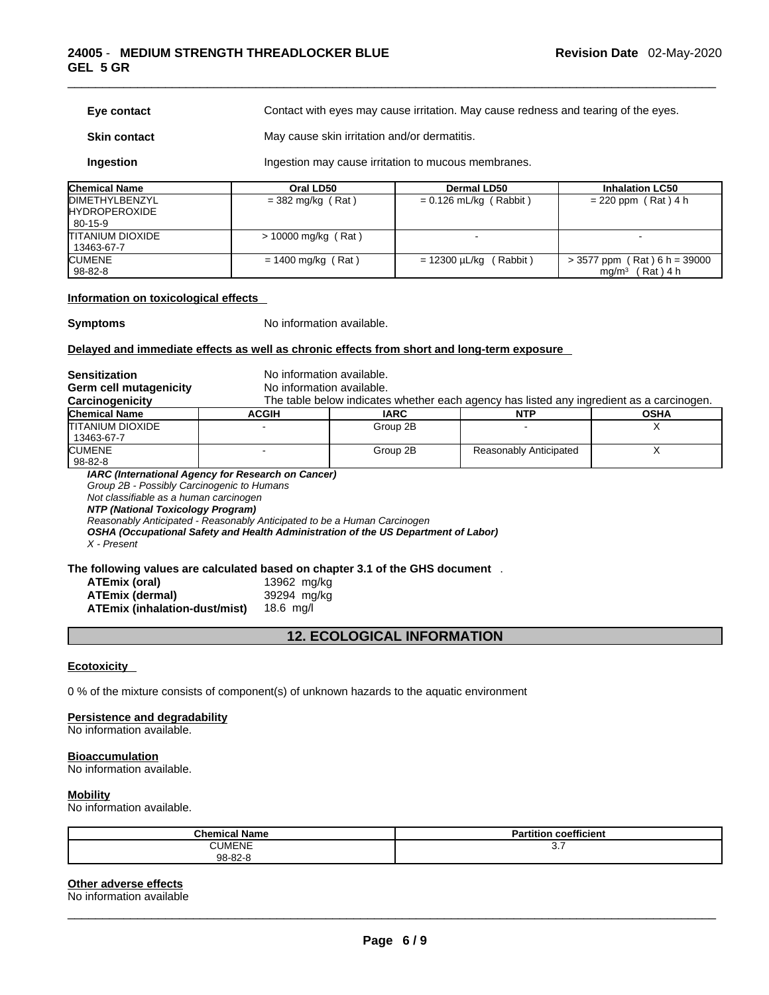#### **Eye contact** Contact with eyes may cause irritation. May cause redness and tearing of the eyes.

**Skin contact** May cause skin irritation and/or dermatitis.

**Ingestion Ingestion may cause irritation to mucous membranes.** 

| <b>Chemical Name</b>                           | Oral LD50             | <b>Dermal LD50</b>          | <b>Inhalation LC50</b>                                          |
|------------------------------------------------|-----------------------|-----------------------------|-----------------------------------------------------------------|
| <b>IDIMETHYLBENZYL</b><br><b>HYDROPEROXIDE</b> | $=$ 382 mg/kg (Rat)   | $= 0.126$ mL/kg (Rabbit)    | $= 220$ ppm (Rat) 4 h                                           |
| 80-15-9                                        |                       |                             |                                                                 |
| ITITANIUM DIOXIDE<br>13463-67-7                | $> 10000$ mg/kg (Rat) |                             |                                                                 |
| <b>CUMENE</b><br>98-82-8                       | $= 1400$ mg/kg (Rat)  | $= 12300 \mu L/kg$ (Rabbit) | $>$ 3577 ppm (Rat) 6 h = 39000<br>ma/m <sup>3</sup><br>(Rat)4 h |

#### **Information on toxicological effects**

**Symptoms** No information available.

## **Delayed and immediate effects as well as chronic effects from short and long-term exposure**

| <b>Sensitization</b>                       | No information available.                                                          |                                                                          |                                                                                          |             |  |  |
|--------------------------------------------|------------------------------------------------------------------------------------|--------------------------------------------------------------------------|------------------------------------------------------------------------------------------|-------------|--|--|
| Germ cell mutagenicity                     | No information available.                                                          |                                                                          |                                                                                          |             |  |  |
| Carcinogenicity                            |                                                                                    |                                                                          | The table below indicates whether each agency has listed any ingredient as a carcinogen. |             |  |  |
| <b>Chemical Name</b>                       | <b>ACGIH</b>                                                                       | <b>IARC</b>                                                              | <b>NTP</b>                                                                               | <b>OSHA</b> |  |  |
| <b>TITANIUM DIOXIDE</b>                    |                                                                                    | Group 2B                                                                 |                                                                                          |             |  |  |
| 13463-67-7                                 |                                                                                    |                                                                          |                                                                                          |             |  |  |
| <b>CUMENE</b>                              |                                                                                    | Group 2B                                                                 | Reasonably Anticipated                                                                   |             |  |  |
| 98-82-8                                    |                                                                                    |                                                                          |                                                                                          |             |  |  |
|                                            | IARC (International Agency for Research on Cancer)                                 |                                                                          |                                                                                          |             |  |  |
| Group 2B - Possibly Carcinogenic to Humans |                                                                                    |                                                                          |                                                                                          |             |  |  |
|                                            | Not classifiable as a human carcinogen<br>NTP (National Toxicology Program)        |                                                                          |                                                                                          |             |  |  |
|                                            |                                                                                    |                                                                          |                                                                                          |             |  |  |
|                                            |                                                                                    | Reasonably Anticipated - Reasonably Anticipated to be a Human Carcinogen |                                                                                          |             |  |  |
|                                            | OSHA (Occupational Safety and Health Administration of the US Department of Labor) |                                                                          |                                                                                          |             |  |  |
|                                            |                                                                                    |                                                                          |                                                                                          |             |  |  |

*X - Present* 

## **The following values are calculated based on chapter 3.1 of the GHS document** .

| ATEmix (oral)                        | 13962 mg/kg |
|--------------------------------------|-------------|
| <b>ATEmix (dermal)</b>               | 39294 mg/kg |
| <b>ATEmix (inhalation-dust/mist)</b> | 18.6 $mq/l$ |

## **12. ECOLOGICAL INFORMATION**

#### **Ecotoxicity**

0 % of the mixture consists of component(s) of unknown hazards to the aquatic environment

#### **Persistence and degradability**

No information available.

#### **Bioaccumulation**

No information available.

#### **Mobility**

No information available.

| - - -<br><b>Chemical Name</b> | <br>$  -$<br>Partition<br>coefficient |
|-------------------------------|---------------------------------------|
| <b>CUMENE</b>                 | ◡.≀                                   |
| 98-82-8                       |                                       |

## **Other adverse effects**

No information available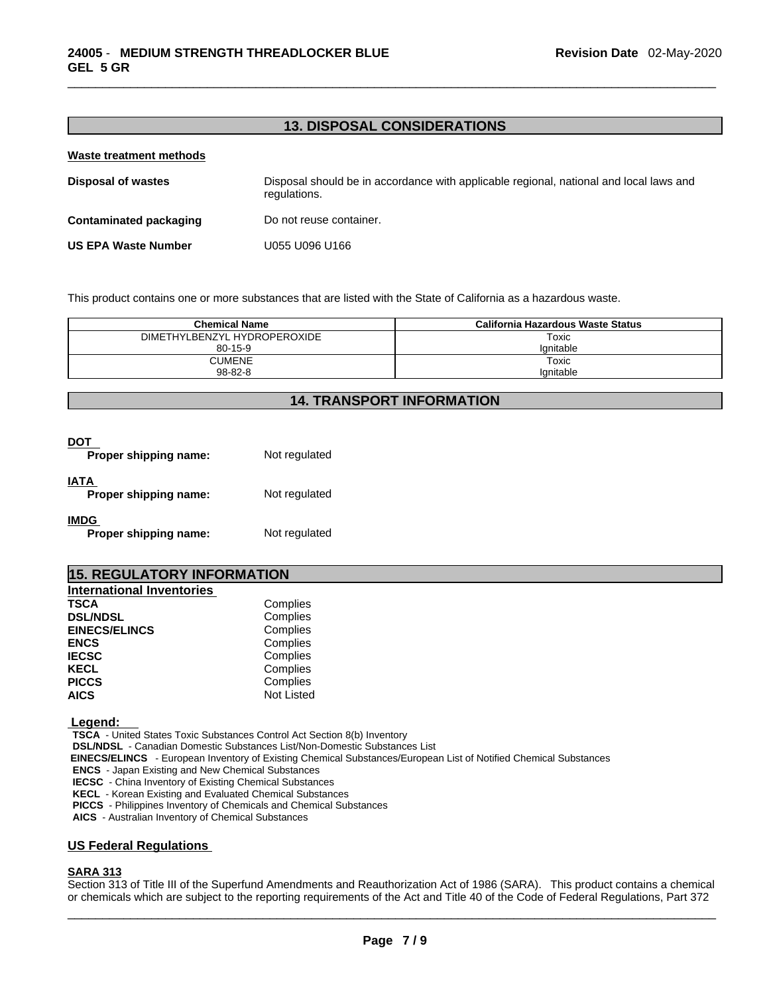## **13. DISPOSAL CONSIDERATIONS**

#### **Waste treatment methods**

| <b>Disposal of wastes</b>     | Disposal should be in accordance with applicable regional, national and local laws and<br>regulations. |
|-------------------------------|--------------------------------------------------------------------------------------------------------|
| <b>Contaminated packaging</b> | Do not reuse container.                                                                                |
| <b>US EPA Waste Number</b>    | U055 U096 U166                                                                                         |

This product contains one or more substances that are listed with the State of California as a hazardous waste.

| <b>Chemical Name</b>         | California Hazardous Waste Status |  |
|------------------------------|-----------------------------------|--|
| DIMETHYLBENZYL HYDROPEROXIDE | Toxic                             |  |
| $80 - 15 - 9$                | lanitable                         |  |
| <b>CUMENE</b>                | Toxic                             |  |
| $98 - 82 - 8$                | lanitable                         |  |

## **14. TRANSPORT INFORMATION**

| Proper shipping name:                | Not regulated |
|--------------------------------------|---------------|
| IATA<br>Proper shipping name:        | Not regulated |
| <b>IMDG</b><br>Proper shipping name: | Not regulated |

## **15. REGULATORY INFORMATION**

| <b>International Inventories</b> |                   |  |
|----------------------------------|-------------------|--|
| TSCA                             | Complies          |  |
| <b>DSL/NDSL</b>                  | Complies          |  |
| <b>EINECS/ELINCS</b>             | Complies          |  |
| <b>ENCS</b>                      | Complies          |  |
| <b>IECSC</b>                     | Complies          |  |
| KECL                             | Complies          |  |
| <b>PICCS</b>                     | Complies          |  |
| <b>AICS</b>                      | <b>Not Listed</b> |  |
|                                  |                   |  |

 **Legend:** 

**TSCA** - United States Toxic Substances Control Act Section 8(b) Inventory

**DSL/NDSL** - Canadian Domestic Substances List/Non-Domestic Substances List

 **EINECS/ELINCS** - European Inventory of Existing Chemical Substances/European List of Notified Chemical Substances

**ENCS** - Japan Existing and New Chemical Substances

**IECSC** - China Inventory of Existing Chemical Substances

**KECL** - Korean Existing and Evaluated Chemical Substances

**PICCS** - Philippines Inventory of Chemicals and Chemical Substances

**AICS** - Australian Inventory of Chemical Substances

## **US Federal Regulations**

## **SARA 313**

 $\_$  ,  $\_$  ,  $\_$  ,  $\_$  ,  $\_$  ,  $\_$  ,  $\_$  ,  $\_$  ,  $\_$  ,  $\_$  ,  $\_$  ,  $\_$  ,  $\_$  ,  $\_$  ,  $\_$  ,  $\_$  ,  $\_$  ,  $\_$  ,  $\_$  ,  $\_$  ,  $\_$  ,  $\_$  ,  $\_$  ,  $\_$  ,  $\_$  ,  $\_$  ,  $\_$  ,  $\_$  ,  $\_$  ,  $\_$  ,  $\_$  ,  $\_$  ,  $\_$  ,  $\_$  ,  $\_$  ,  $\_$  ,  $\_$  , Section 313 of Title III of the Superfund Amendments and Reauthorization Act of 1986 (SARA). This product contains a chemical or chemicals which are subject to the reporting requirements of the Act and Title 40 of the Code of Federal Regulations, Part 372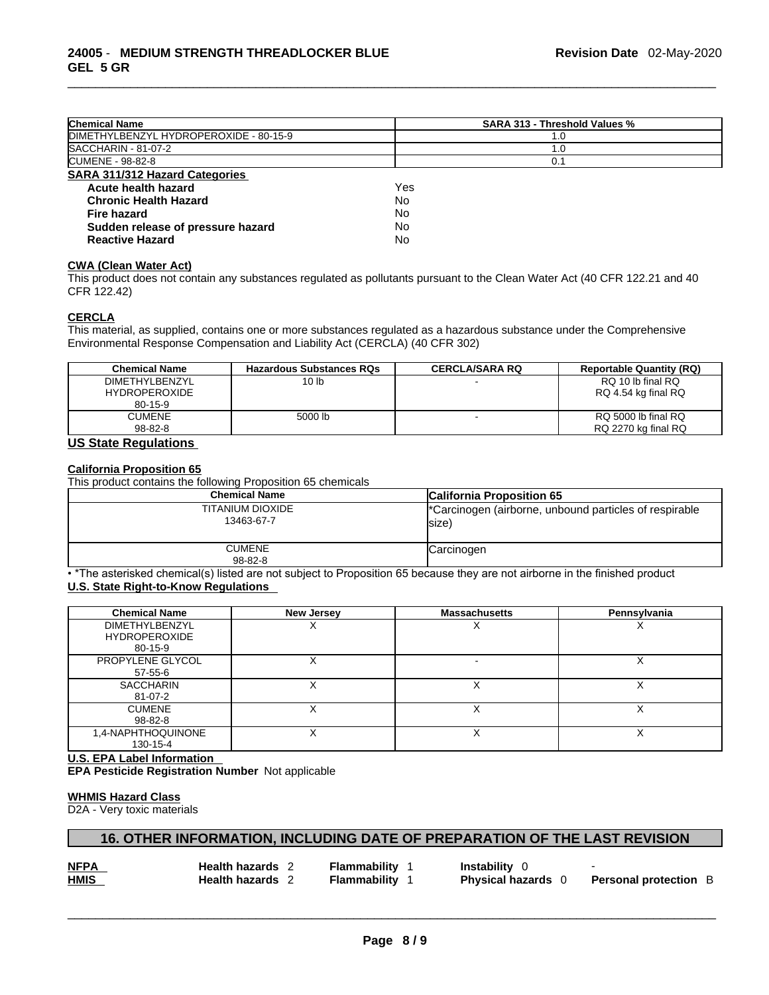| <b>Chemical Name</b>                   | SARA 313 - Threshold Values % |
|----------------------------------------|-------------------------------|
| DIMETHYLBENZYL HYDROPEROXIDE - 80-15-9 | 1.0                           |
| SACCHARIN - 81-07-2                    | 1.0                           |
| <b>ICUMENE - 98-82-8</b>               | 0.1                           |
| <b>SARA 311/312 Hazard Categories</b>  |                               |
| Acute health hazard                    | Yes                           |
| <b>Chronic Health Hazard</b>           | No                            |
| Fire hazard                            | No                            |
| Sudden release of pressure hazard      | No                            |
| <b>Reactive Hazard</b>                 | No                            |

## **CWA** (Clean Water Act)

This product does not contain any substances regulated as pollutants pursuant to the Clean Water Act (40 CFR 122.21 and 40 CFR 122.42)

#### **CERCLA**

This material, as supplied, contains one or more substances regulated as a hazardous substance under the Comprehensive Environmental Response Compensation and Liability Act (CERCLA) (40 CFR 302)

| <b>Chemical Name</b>  | <b>Hazardous Substances RQs</b> | <b>CERCLA/SARA RQ</b> | <b>Reportable Quantity (RQ)</b> |
|-----------------------|---------------------------------|-----------------------|---------------------------------|
| <b>DIMETHYLBENZYL</b> | 10 <sub>1b</sub>                |                       | RQ 10 lb final RQ               |
| <b>HYDROPEROXIDE</b>  |                                 |                       | RQ 4.54 kg final RQ             |
| $80 - 15 - 9$         |                                 |                       |                                 |
| CUMENE                | 5000 lb                         |                       | RQ 5000 lb final RQ             |
| $98 - 82 - 8$         |                                 |                       | RQ 2270 kg final RQ             |

## **US State Regulations**

## **California Proposition 65**

This product contains the following Proposition 65 chemicals

| <b>Chemical Name</b>           | <b>California Proposition 65</b>                                 |  |
|--------------------------------|------------------------------------------------------------------|--|
| TITANIUM DIOXIDE<br>13463-67-7 | "Carcinogen (airborne, unbound particles of respirable<br>lsize) |  |
| <b>CUMENE</b><br>$98 - 82 - 8$ | Carcinogen                                                       |  |

• \*The asterisked chemical(s) listed are not subject to Proposition 65 because they are not airborne in the finished product **U.S. State Right-to-Know Regulations** 

| <b>Chemical Name</b>  | <b>New Jersey</b> | <b>Massachusetts</b> | Pennsylvania |
|-----------------------|-------------------|----------------------|--------------|
| <b>DIMETHYLBENZYL</b> |                   |                      |              |
| <b>HYDROPEROXIDE</b>  |                   |                      |              |
| 80-15-9               |                   |                      |              |
| PROPYLENE GLYCOL      |                   |                      |              |
| 57-55-6               |                   |                      |              |
| <b>SACCHARIN</b>      |                   |                      |              |
| 81-07-2               |                   |                      |              |
| <b>CUMENE</b>         |                   |                      |              |
| 98-82-8               |                   |                      |              |
| 1,4-NAPHTHOQUINONE    |                   |                      |              |
| 130-15-4              |                   |                      |              |

**U.S. EPA Label Information** 

**EPA Pesticide Registration Number** Not applicable

#### **WHMIS Hazard Class**

D2A - Very toxic materials

## **16. OTHER INFORMATION, INCLUDING DATE OF PREPARATION OF THE LAST REVISION**

| <b>NFPA</b> | <b>Health hazards</b> 2 | <b>Flammability</b> 1 | <b>Instability</b> 0      |                              |
|-------------|-------------------------|-----------------------|---------------------------|------------------------------|
| <b>HMIS</b> | <b>Health hazards</b> 2 | <b>Flammability</b> 1 | <b>Physical hazards</b> 0 | <b>Personal protection B</b> |